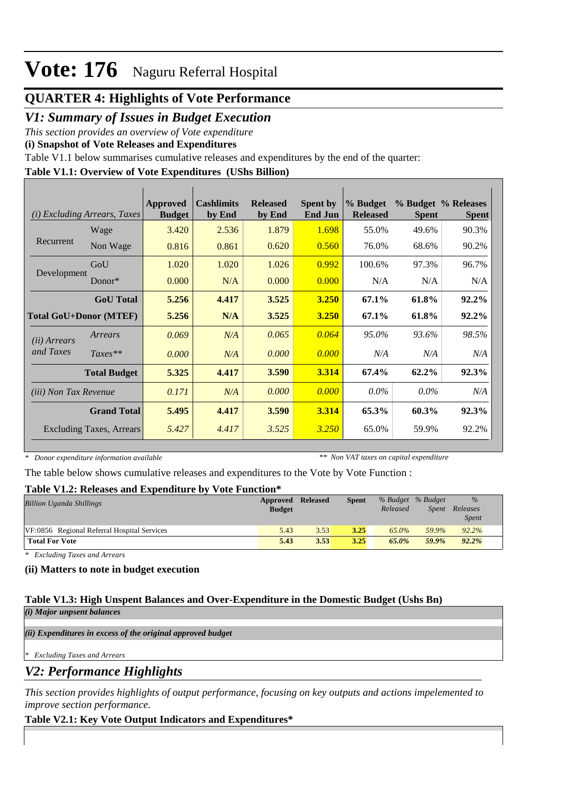## **QUARTER 4: Highlights of Vote Performance**

## *V1: Summary of Issues in Budget Execution*

*This section provides an overview of Vote expenditure* 

**(i) Snapshot of Vote Releases and Expenditures**

Table V1.1 below summarises cumulative releases and expenditures by the end of the quarter:

### **Table V1.1: Overview of Vote Expenditures (UShs Billion)**

|                               | (i) Excluding Arrears, Taxes | Approved<br><b>Budget</b> | <b>Cashlimits</b><br>by End | <b>Released</b><br>by End | <b>Spent by</b><br><b>End Jun</b> | % Budget<br><b>Released</b> | <b>Spent</b> | % Budget % Releases<br><b>Spent</b> |
|-------------------------------|------------------------------|---------------------------|-----------------------------|---------------------------|-----------------------------------|-----------------------------|--------------|-------------------------------------|
|                               | Wage                         | 3.420                     | 2.536                       | 1.879                     | 1.698                             | 55.0%                       | 49.6%        | 90.3%                               |
| Recurrent                     | Non Wage                     | 0.816                     | 0.861                       | 0.620                     | 0.560                             | 76.0%                       | 68.6%        | 90.2%                               |
| Development                   | GoU                          | 1.020                     | 1.020                       | 1.026                     | 0.992                             | 100.6%                      | 97.3%        | 96.7%                               |
|                               | $Donor*$                     | 0.000                     | N/A                         | 0.000                     | 0.000                             | N/A                         | N/A          | N/A                                 |
|                               | <b>GoU</b> Total             | 5.256                     | 4.417                       | 3.525                     | 3.250                             | 67.1%                       | 61.8%        | 92.2%                               |
| <b>Total GoU+Donor (MTEF)</b> |                              | 5.256                     | N/A                         | 3.525                     | <b>3.250</b>                      | 67.1%                       | 61.8%        | 92.2%                               |
| (ii) Arrears                  | Arrears                      | 0.069                     | N/A                         | 0.065                     | 0.064                             | 95.0%                       | 93.6%        | 98.5%                               |
| and Taxes                     | $Taxes**$                    | 0.000                     | N/A                         | 0.000                     | 0.000                             | N/A                         | N/A          | N/A                                 |
|                               | <b>Total Budget</b>          | 5.325                     | 4.417                       | 3.590                     | 3.314                             | 67.4%                       | 62.2%        | 92.3%                               |
| (iii) Non Tax Revenue         |                              | 0.171                     | N/A                         | 0.000                     | 0.000                             | $0.0\%$                     | $0.0\%$      | N/A                                 |
|                               | <b>Grand Total</b>           | 5.495                     | 4.417                       | 3.590                     | 3.314                             | 65.3%                       | 60.3%        | 92.3%                               |
|                               | Excluding Taxes, Arrears     | 5.427                     | 4.417                       | 3.525                     | 3.250                             | 65.0%                       | 59.9%        | 92.2%                               |

*\* Donor expenditure information available*

*\*\* Non VAT taxes on capital expenditure*

The table below shows cumulative releases and expenditures to the Vote by Vote Function :

### **Table V1.2: Releases and Expenditure by Vote Function\***

| Billion Uganda Shillings                    | Approved<br><b>Budget</b> | Released | Spent | % Budget % Budget<br>Released | Spent | $\%$<br>Releases<br><i>Spent</i> |
|---------------------------------------------|---------------------------|----------|-------|-------------------------------|-------|----------------------------------|
| VF:0856 Regional Referral Hospital Services | 5.43                      | 3.53     | 3.25  | $65.0\%$                      | 59.9% | 92.2%                            |
| <b>Total For Vote</b>                       | 5.43                      | 3.53     | 3.25  | 65.0%                         | 59.9% | $92.2\%$                         |

*\* Excluding Taxes and Arrears*

### **(ii) Matters to note in budget execution**

#### **Table V1.3: High Unspent Balances and Over-Expenditure in the Domestic Budget (Ushs Bn)** *(i) Major unpsent balances*

*(ii) Expenditures in excess of the original approved budget*

*\* Excluding Taxes and Arrears*

*V2: Performance Highlights*

*This section provides highlights of output performance, focusing on key outputs and actions impelemented to improve section performance.*

## **Table V2.1: Key Vote Output Indicators and Expenditures\***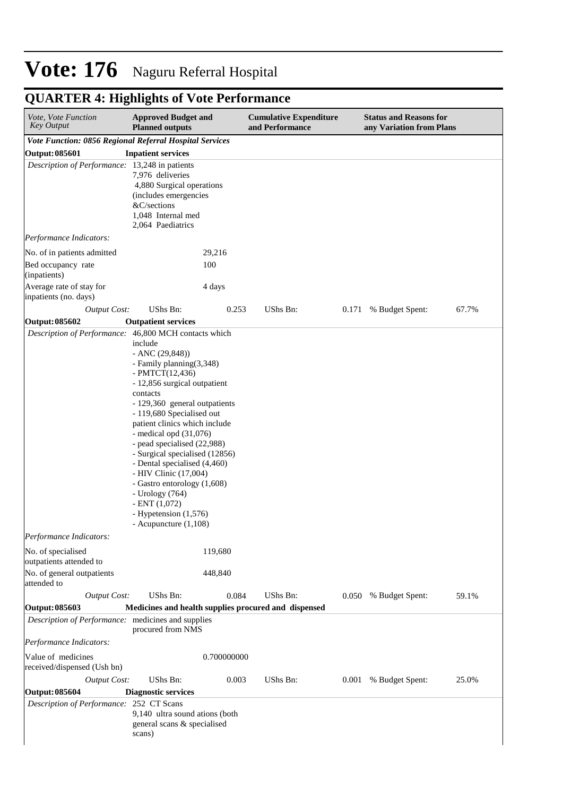# **QUARTER 4: Highlights of Vote Performance**

| Vote, Vote Function<br><b>Key Output</b>                             | <b>Approved Budget and</b><br><b>Planned outputs</b>                                                                                                                                                                                                                                                                                                                                                                                                                                                           |             | <b>Cumulative Expenditure</b><br>and Performance |       | <b>Status and Reasons for</b><br>any Variation from Plans |       |  |
|----------------------------------------------------------------------|----------------------------------------------------------------------------------------------------------------------------------------------------------------------------------------------------------------------------------------------------------------------------------------------------------------------------------------------------------------------------------------------------------------------------------------------------------------------------------------------------------------|-------------|--------------------------------------------------|-------|-----------------------------------------------------------|-------|--|
| Vote Function: 0856 Regional Referral Hospital Services              |                                                                                                                                                                                                                                                                                                                                                                                                                                                                                                                |             |                                                  |       |                                                           |       |  |
| Output: 085601                                                       | <b>Inpatient services</b>                                                                                                                                                                                                                                                                                                                                                                                                                                                                                      |             |                                                  |       |                                                           |       |  |
| Description of Performance: 13,248 in patients                       | 7,976 deliveries<br>4,880 Surgical operations<br>(includes emergencies<br>&C/sections<br>1,048 Internal med<br>2,064 Paediatrics                                                                                                                                                                                                                                                                                                                                                                               |             |                                                  |       |                                                           |       |  |
| Performance Indicators:                                              |                                                                                                                                                                                                                                                                                                                                                                                                                                                                                                                |             |                                                  |       |                                                           |       |  |
| No. of in patients admitted                                          | 29,216                                                                                                                                                                                                                                                                                                                                                                                                                                                                                                         |             |                                                  |       |                                                           |       |  |
| Bed occupancy rate<br>(inpatients)                                   | 100                                                                                                                                                                                                                                                                                                                                                                                                                                                                                                            |             |                                                  |       |                                                           |       |  |
| Average rate of stay for<br>inpatients (no. days)                    | 4 days                                                                                                                                                                                                                                                                                                                                                                                                                                                                                                         |             |                                                  |       |                                                           |       |  |
| <b>Output Cost:</b>                                                  | UShs Bn:                                                                                                                                                                                                                                                                                                                                                                                                                                                                                                       | 0.253       | UShs Bn:                                         | 0.171 | % Budget Spent:                                           | 67.7% |  |
| Output: 085602                                                       | <b>Outpatient services</b>                                                                                                                                                                                                                                                                                                                                                                                                                                                                                     |             |                                                  |       |                                                           |       |  |
| Description of Performance: 46,800 MCH contacts which                | include<br>$-$ ANC $(29, 848)$<br>- Family planning (3,348)<br>- PMTCT $(12, 436)$<br>- 12,856 surgical outpatient<br>contacts<br>- 129,360 general outpatients<br>- 119,680 Specialised out<br>patient clinics which include<br>- medical opd $(31,076)$<br>- pead specialised (22,988)<br>- Surgical specialised (12856)<br>- Dental specialised (4,460)<br>- HIV Clinic (17,004)<br>- Gastro entorology (1,608)<br>- Urology (764)<br>$-$ ENT $(1,072)$<br>- Hypetension (1,576)<br>- Acupuncture $(1,108)$ |             |                                                  |       |                                                           |       |  |
| Performance Indicators:<br>No. of specialised                        |                                                                                                                                                                                                                                                                                                                                                                                                                                                                                                                | 119,680     |                                                  |       |                                                           |       |  |
| outpatients attended to<br>No. of general outpatients<br>attended to |                                                                                                                                                                                                                                                                                                                                                                                                                                                                                                                | 448,840     |                                                  |       |                                                           |       |  |
| <b>Output Cost:</b>                                                  | UShs Bn:                                                                                                                                                                                                                                                                                                                                                                                                                                                                                                       | 0.084       | UShs Bn:                                         | 0.050 | % Budget Spent:                                           | 59.1% |  |
| Output: 085603                                                       | Medicines and health supplies procured and dispensed                                                                                                                                                                                                                                                                                                                                                                                                                                                           |             |                                                  |       |                                                           |       |  |
| Description of Performance: medicines and supplies                   | procured from NMS                                                                                                                                                                                                                                                                                                                                                                                                                                                                                              |             |                                                  |       |                                                           |       |  |
| Performance Indicators:                                              |                                                                                                                                                                                                                                                                                                                                                                                                                                                                                                                |             |                                                  |       |                                                           |       |  |
| Value of medicines<br>received/dispensed (Ush bn)                    |                                                                                                                                                                                                                                                                                                                                                                                                                                                                                                                | 0.700000000 |                                                  |       |                                                           |       |  |
| <b>Output Cost:</b>                                                  | UShs Bn:                                                                                                                                                                                                                                                                                                                                                                                                                                                                                                       | 0.003       | UShs Bn:                                         | 0.001 | % Budget Spent:                                           | 25.0% |  |
| Output: 085604                                                       | <b>Diagnostic services</b>                                                                                                                                                                                                                                                                                                                                                                                                                                                                                     |             |                                                  |       |                                                           |       |  |
| Description of Performance: 252 CT Scans                             | 9,140 ultra sound ations (both<br>general scans & specialised<br>scans)                                                                                                                                                                                                                                                                                                                                                                                                                                        |             |                                                  |       |                                                           |       |  |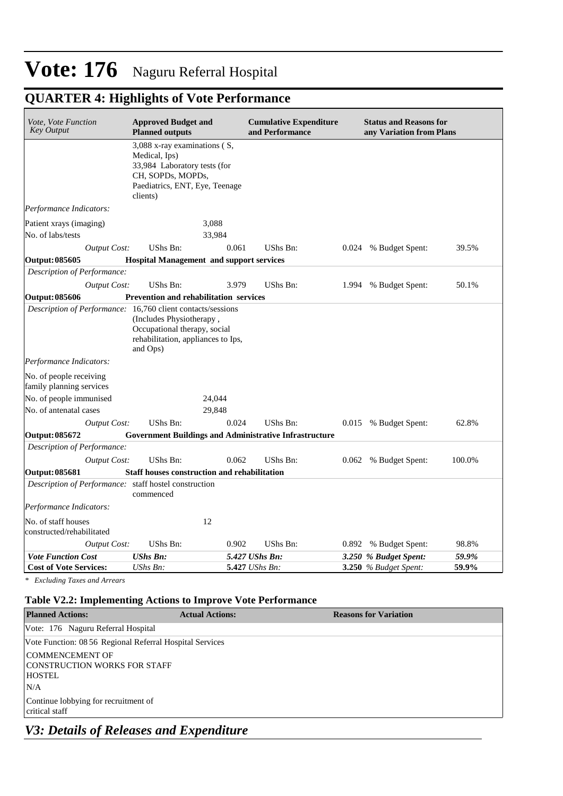## **QUARTER 4: Highlights of Vote Performance**

| Vote, Vote Function<br><b>Key Output</b>                    | <b>Approved Budget and</b><br><b>Planned outputs</b>                                                                                             |       | <b>Cumulative Expenditure</b><br>and Performance |       | <b>Status and Reasons for</b><br>any Variation from Plans |        |
|-------------------------------------------------------------|--------------------------------------------------------------------------------------------------------------------------------------------------|-------|--------------------------------------------------|-------|-----------------------------------------------------------|--------|
|                                                             | 3,088 x-ray examinations (S,<br>Medical, Ips)<br>33,984 Laboratory tests (for<br>CH, SOPDs, MOPDs,<br>Paediatrics, ENT, Eye, Teenage<br>clients) |       |                                                  |       |                                                           |        |
| Performance Indicators:                                     |                                                                                                                                                  |       |                                                  |       |                                                           |        |
| Patient xrays (imaging)<br>No. of labs/tests                | 3,088<br>33,984                                                                                                                                  |       |                                                  |       |                                                           |        |
| <b>Output Cost:</b>                                         | UShs Bn:                                                                                                                                         | 0.061 | UShs Bn:                                         | 0.024 | % Budget Spent:                                           | 39.5%  |
| Output: 085605                                              | <b>Hospital Management and support services</b>                                                                                                  |       |                                                  |       |                                                           |        |
| Description of Performance:                                 |                                                                                                                                                  |       |                                                  |       |                                                           |        |
| <b>Output Cost:</b>                                         | UShs Bn:                                                                                                                                         | 3.979 | UShs Bn:                                         | 1.994 | % Budget Spent:                                           | 50.1%  |
| <b>Output: 085606</b>                                       | <b>Prevention and rehabilitation services</b>                                                                                                    |       |                                                  |       |                                                           |        |
| Description of Performance: 16,760 client contacts/sessions | (Includes Physiotherapy,<br>Occupational therapy, social<br>rehabilitation, appliances to Ips,<br>and Ops)                                       |       |                                                  |       |                                                           |        |
| Performance Indicators:                                     |                                                                                                                                                  |       |                                                  |       |                                                           |        |
| No. of people receiving<br>family planning services         |                                                                                                                                                  |       |                                                  |       |                                                           |        |
| No. of people immunised                                     | 24,044                                                                                                                                           |       |                                                  |       |                                                           |        |
| No. of antenatal cases                                      | 29,848                                                                                                                                           |       |                                                  |       |                                                           |        |
| <b>Output Cost:</b>                                         | UShs Bn:                                                                                                                                         | 0.024 | UShs Bn:                                         | 0.015 | % Budget Spent:                                           | 62.8%  |
| <b>Output: 085672</b>                                       | <b>Government Buildings and Administrative Infrastructure</b>                                                                                    |       |                                                  |       |                                                           |        |
| Description of Performance:                                 |                                                                                                                                                  |       |                                                  |       |                                                           |        |
| <b>Output Cost:</b>                                         | UShs Bn:                                                                                                                                         | 0.062 | UShs Bn:                                         | 0.062 | % Budget Spent:                                           | 100.0% |
| <b>Output: 085681</b>                                       | <b>Staff houses construction and rehabilitation</b>                                                                                              |       |                                                  |       |                                                           |        |
| Description of Performance: staff hostel construction       | commenced                                                                                                                                        |       |                                                  |       |                                                           |        |
| Performance Indicators:                                     |                                                                                                                                                  |       |                                                  |       |                                                           |        |
| No. of staff houses<br>constructed/rehabilitated            | 12                                                                                                                                               |       |                                                  |       |                                                           |        |
| <b>Output Cost:</b>                                         | UShs Bn:                                                                                                                                         | 0.902 | UShs Bn:                                         | 0.892 | % Budget Spent:                                           | 98.8%  |
| <b>Vote Function Cost</b>                                   | <b>UShs Bn:</b>                                                                                                                                  |       | 5.427 UShs Bn:                                   |       | 3.250 % Budget Spent:                                     | 59.9%  |
| <b>Cost of Vote Services:</b>                               | UShs Bn:                                                                                                                                         |       | 5.427 UShs Bn:                                   |       | 3.250 % Budget Spent:                                     | 59.9%  |

*\* Excluding Taxes and Arrears*

### **Table V2.2: Implementing Actions to Improve Vote Performance**

| <b>Planned Actions:</b>                                          | <b>Actual Actions:</b> | <b>Reasons for Variation</b> |
|------------------------------------------------------------------|------------------------|------------------------------|
| Vote: 176 Naguru Referral Hospital                               |                        |                              |
| Vote Function: 08 56 Regional Referral Hospital Services         |                        |                              |
| COMMENCEMENT OF<br>CONSTRUCTION WORKS FOR STAFF<br><b>HOSTEL</b> |                        |                              |
| N/A                                                              |                        |                              |
| Continue lobbying for recruitment of<br>critical staff           |                        |                              |

## *V3: Details of Releases and Expenditure*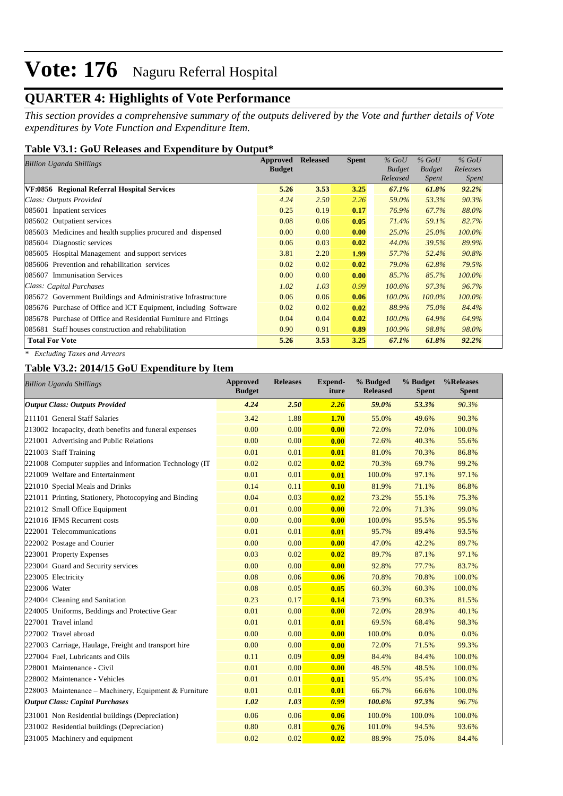## **QUARTER 4: Highlights of Vote Performance**

*This section provides a comprehensive summary of the outputs delivered by the Vote and further details of Vote expenditures by Vote Function and Expenditure Item.*

#### **Table V3.1: GoU Releases and Expenditure by Output\***

| <b>Billion Uganda Shillings</b>                                  |               | <b>Approved Released</b> | <b>Spent</b> | $\%$ GoU      | $%$ GoU       | $%$ GoU      |
|------------------------------------------------------------------|---------------|--------------------------|--------------|---------------|---------------|--------------|
|                                                                  | <b>Budget</b> |                          |              | <b>Budget</b> | <b>Budget</b> | Releases     |
|                                                                  |               |                          |              | Released      | Spent         | <i>Spent</i> |
| VF:0856 Regional Referral Hospital Services                      | 5.26          | 3.53                     | 3.25         | 67.1%         | 61.8%         | $92.2\%$     |
| Class: Outputs Provided                                          | 4.24          | 2.50                     | 2.26         | 59.0%         | 53.3%         | 90.3%        |
| 085601 Inpatient services                                        | 0.25          | 0.19                     | 0.17         | 76.9%         | 67.7%         | 88.0%        |
| 085602 Outpatient services                                       | 0.08          | 0.06                     | 0.05         | 71.4%         | 59.1%         | 82.7%        |
| 085603 Medicines and health supplies procured and dispensed      | 0.00          | 0.00                     | 0.00         | $25.0\%$      | $25.0\%$      | $100.0\%$    |
| 085604 Diagnostic services                                       | 0.06          | 0.03                     | 0.02         | 44.0%         | 39.5%         | 89.9%        |
| 085605 Hospital Management and support services                  | 3.81          | 2.20                     | 1.99         | 57.7%         | 52.4%         | 90.8%        |
| 085606 Prevention and rehabilitation services                    | 0.02          | 0.02                     | 0.02         | 79.0%         | 62.8%         | 79.5%        |
| 085607 Immunisation Services                                     | 0.00          | 0.00                     | 0.00         | 85.7%         | 85.7%         | $100.0\%$    |
| Class: Capital Purchases                                         | 1.02          | 1.03                     | 0.99         | $100.6\%$     | 97.3%         | 96.7%        |
| 085672 Government Buildings and Administrative Infrastructure    | 0.06          | 0.06                     | 0.06         | $100.0\%$     | 100.0%        | $100.0\%$    |
| 085676 Purchase of Office and ICT Equipment, including Software  | 0.02          | 0.02                     | 0.02         | 88.9%         | 75.0%         | 84.4%        |
| 085678 Purchase of Office and Residential Furniture and Fittings | 0.04          | 0.04                     | 0.02         | $100.0\%$     | 64.9%         | 64.9%        |
| 085681 Staff houses construction and rehabilitation              | 0.90          | 0.91                     | 0.89         | 100.9%        | 98.8%         | 98.0%        |
| <b>Total For Vote</b>                                            | 5.26          | 3.53                     | 3.25         | 67.1%         | 61.8%         | 92.2%        |

*\* Excluding Taxes and Arrears*

#### **Table V3.2: 2014/15 GoU Expenditure by Item**

| <b>Billion Uganda Shillings</b>                         | <b>Approved</b><br><b>Budget</b> | <b>Releases</b> | Expend-<br>iture | % Budged<br><b>Released</b> | % Budget<br><b>Spent</b> | %Releases<br><b>Spent</b> |
|---------------------------------------------------------|----------------------------------|-----------------|------------------|-----------------------------|--------------------------|---------------------------|
| <b>Output Class: Outputs Provided</b>                   | 4.24                             | 2.50            | 2.26             | 59.0%                       | 53.3%                    | 90.3%                     |
| 211101 General Staff Salaries                           | 3.42                             | 1.88            | 1.70             | 55.0%                       | 49.6%                    | 90.3%                     |
| 213002 Incapacity, death benefits and funeral expenses  | 0.00                             | 0.00            | 0.00             | 72.0%                       | 72.0%                    | 100.0%                    |
| 221001 Advertising and Public Relations                 | 0.00                             | 0.00            | 0.00             | 72.6%                       | 40.3%                    | 55.6%                     |
| 221003 Staff Training                                   | 0.01                             | 0.01            | 0.01             | 81.0%                       | 70.3%                    | 86.8%                     |
| 221008 Computer supplies and Information Technology (IT | 0.02                             | 0.02            | 0.02             | 70.3%                       | 69.7%                    | 99.2%                     |
| 221009 Welfare and Entertainment                        | 0.01                             | 0.01            | 0.01             | 100.0%                      | 97.1%                    | 97.1%                     |
| 221010 Special Meals and Drinks                         | 0.14                             | 0.11            | 0.10             | 81.9%                       | 71.1%                    | 86.8%                     |
| 221011 Printing, Stationery, Photocopying and Binding   | 0.04                             | 0.03            | 0.02             | 73.2%                       | 55.1%                    | 75.3%                     |
| 221012 Small Office Equipment                           | 0.01                             | 0.00            | 0.00             | 72.0%                       | 71.3%                    | 99.0%                     |
| 221016 IFMS Recurrent costs                             | 0.00                             | 0.00            | 0.00             | 100.0%                      | 95.5%                    | 95.5%                     |
| 222001 Telecommunications                               | 0.01                             | 0.01            | 0.01             | 95.7%                       | 89.4%                    | 93.5%                     |
| 222002 Postage and Courier                              | 0.00                             | 0.00            | 0.00             | 47.0%                       | 42.2%                    | 89.7%                     |
| 223001 Property Expenses                                | 0.03                             | 0.02            | 0.02             | 89.7%                       | 87.1%                    | 97.1%                     |
| 223004 Guard and Security services                      | 0.00                             | 0.00            | 0.00             | 92.8%                       | 77.7%                    | 83.7%                     |
| 223005 Electricity                                      | 0.08                             | 0.06            | 0.06             | 70.8%                       | 70.8%                    | 100.0%                    |
| 223006 Water                                            | 0.08                             | 0.05            | 0.05             | 60.3%                       | 60.3%                    | 100.0%                    |
| 224004 Cleaning and Sanitation                          | 0.23                             | 0.17            | 0.14             | 73.9%                       | 60.3%                    | 81.5%                     |
| 224005 Uniforms, Beddings and Protective Gear           | 0.01                             | 0.00            | 0.00             | 72.0%                       | 28.9%                    | 40.1%                     |
| 227001 Travel inland                                    | 0.01                             | 0.01            | 0.01             | 69.5%                       | 68.4%                    | 98.3%                     |
| 227002 Travel abroad                                    | 0.00                             | 0.00            | 0.00             | 100.0%                      | 0.0%                     | 0.0%                      |
| 227003 Carriage, Haulage, Freight and transport hire    | 0.00                             | 0.00            | 0.00             | 72.0%                       | 71.5%                    | 99.3%                     |
| 227004 Fuel, Lubricants and Oils                        | 0.11                             | 0.09            | 0.09             | 84.4%                       | 84.4%                    | 100.0%                    |
| 228001 Maintenance - Civil                              | 0.01                             | 0.00            | 0.00             | 48.5%                       | 48.5%                    | 100.0%                    |
| 228002 Maintenance - Vehicles                           | 0.01                             | 0.01            | 0.01             | 95.4%                       | 95.4%                    | 100.0%                    |
| 228003 Maintenance – Machinery, Equipment & Furniture   | 0.01                             | 0.01            | 0.01             | 66.7%                       | 66.6%                    | 100.0%                    |
| Output Class: Capital Purchases                         | 1.02                             | 1.03            | 0.99             | 100.6%                      | 97.3%                    | 96.7%                     |
| 231001 Non Residential buildings (Depreciation)         | 0.06                             | 0.06            | 0.06             | 100.0%                      | 100.0%                   | 100.0%                    |
| 231002 Residential buildings (Depreciation)             | 0.80                             | 0.81            | 0.76             | 101.0%                      | 94.5%                    | 93.6%                     |
| 231005 Machinery and equipment                          | 0.02                             | 0.02            | 0.02             | 88.9%                       | 75.0%                    | 84.4%                     |